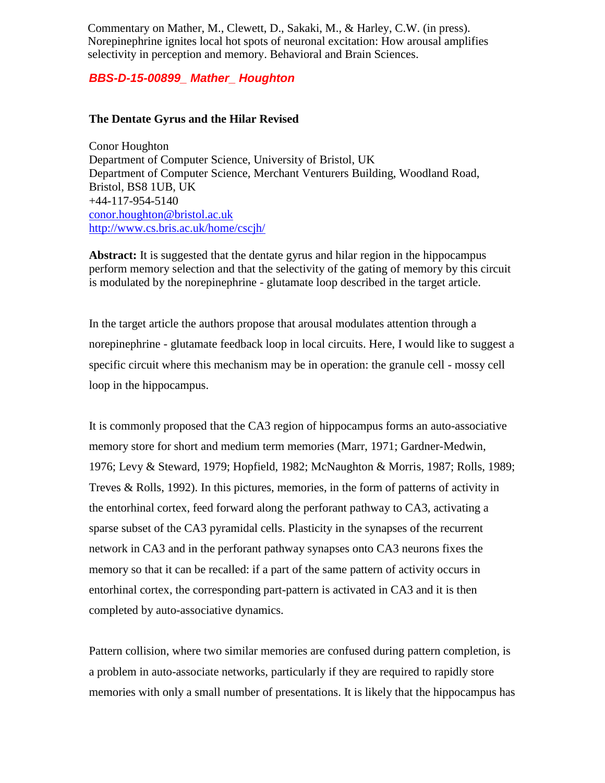Commentary on Mather, M., Clewett, D., Sakaki, M., & Harley, C.W. (in press). Norepinephrine ignites local hot spots of neuronal excitation: How arousal amplifies selectivity in perception and memory. Behavioral and Brain Sciences.

## *BBS-D-15-00899\_ Mather\_ Houghton*

## **The Dentate Gyrus and the Hilar Revised**

Conor Houghton Department of Computer Science, University of Bristol, UK Department of Computer Science, Merchant Venturers Building, Woodland Road, Bristol, BS8 1UB, UK +44-117-954-5140 [conor.houghton@bristol.ac.uk](mailto:conor.houghton@bristol.ac.uk) <http://www.cs.bris.ac.uk/home/cscjh/>

**Abstract:** It is suggested that the dentate gyrus and hilar region in the hippocampus perform memory selection and that the selectivity of the gating of memory by this circuit is modulated by the norepinephrine - glutamate loop described in the target article.

In the target article the authors propose that arousal modulates attention through a norepinephrine - glutamate feedback loop in local circuits. Here, I would like to suggest a specific circuit where this mechanism may be in operation: the granule cell - mossy cell loop in the hippocampus.

It is commonly proposed that the CA3 region of hippocampus forms an auto-associative memory store for short and medium term memories (Marr, 1971; Gardner-Medwin, 1976; Levy & Steward, 1979; Hopfield, 1982; McNaughton & Morris, 1987; Rolls, 1989; Treves & Rolls, 1992). In this pictures, memories, in the form of patterns of activity in the entorhinal cortex, feed forward along the perforant pathway to CA3, activating a sparse subset of the CA3 pyramidal cells. Plasticity in the synapses of the recurrent network in CA3 and in the perforant pathway synapses onto CA3 neurons fixes the memory so that it can be recalled: if a part of the same pattern of activity occurs in entorhinal cortex, the corresponding part-pattern is activated in CA3 and it is then completed by auto-associative dynamics.

Pattern collision, where two similar memories are confused during pattern completion, is a problem in auto-associate networks, particularly if they are required to rapidly store memories with only a small number of presentations. It is likely that the hippocampus has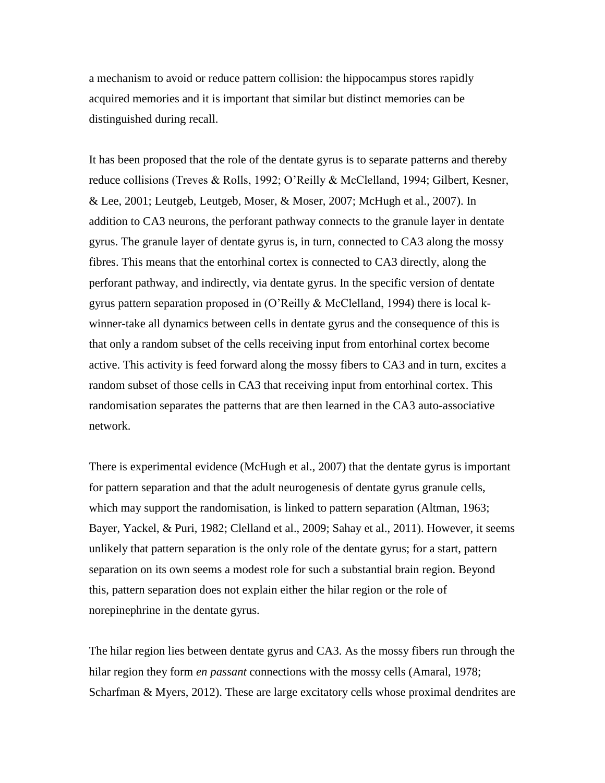a mechanism to avoid or reduce pattern collision: the hippocampus stores rapidly acquired memories and it is important that similar but distinct memories can be distinguished during recall.

It has been proposed that the role of the dentate gyrus is to separate patterns and thereby reduce collisions (Treves & Rolls, 1992; O'Reilly & McClelland, 1994; Gilbert, Kesner, & Lee, 2001; Leutgeb, Leutgeb, Moser, & Moser, 2007; McHugh et al., 2007). In addition to CA3 neurons, the perforant pathway connects to the granule layer in dentate gyrus. The granule layer of dentate gyrus is, in turn, connected to CA3 along the mossy fibres. This means that the entorhinal cortex is connected to CA3 directly, along the perforant pathway, and indirectly, via dentate gyrus. In the specific version of dentate gyrus pattern separation proposed in (O'Reilly & McClelland, 1994) there is local kwinner-take all dynamics between cells in dentate gyrus and the consequence of this is that only a random subset of the cells receiving input from entorhinal cortex become active. This activity is feed forward along the mossy fibers to CA3 and in turn, excites a random subset of those cells in CA3 that receiving input from entorhinal cortex. This randomisation separates the patterns that are then learned in the CA3 auto-associative network.

There is experimental evidence (McHugh et al., 2007) that the dentate gyrus is important for pattern separation and that the adult neurogenesis of dentate gyrus granule cells, which may support the randomisation, is linked to pattern separation (Altman, 1963; Bayer, Yackel, & Puri, 1982; Clelland et al., 2009; Sahay et al., 2011). However, it seems unlikely that pattern separation is the only role of the dentate gyrus; for a start, pattern separation on its own seems a modest role for such a substantial brain region. Beyond this, pattern separation does not explain either the hilar region or the role of norepinephrine in the dentate gyrus.

The hilar region lies between dentate gyrus and CA3. As the mossy fibers run through the hilar region they form *en passant* connections with the mossy cells (Amaral, 1978; Scharfman & Myers, 2012). These are large excitatory cells whose proximal dendrites are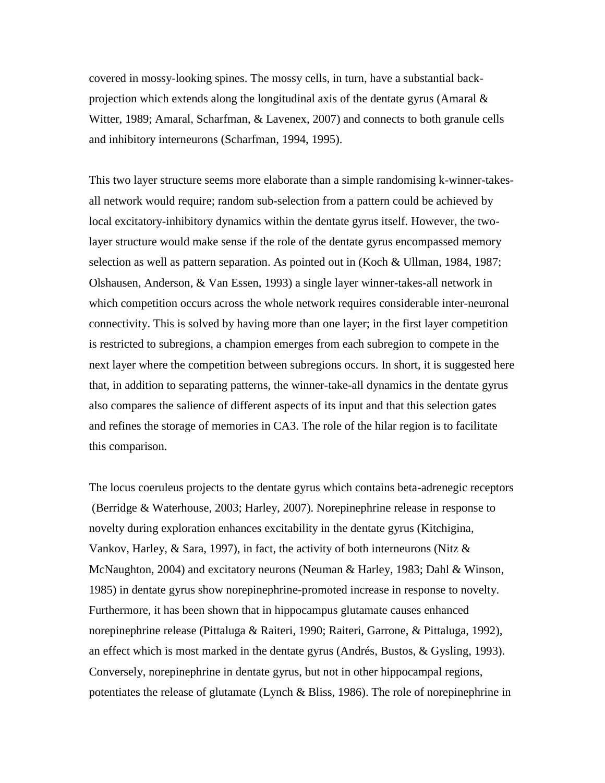covered in mossy-looking spines. The mossy cells, in turn, have a substantial backprojection which extends along the longitudinal axis of the dentate gyrus (Amaral  $\&$ Witter, 1989; Amaral, Scharfman, & Lavenex, 2007) and connects to both granule cells and inhibitory interneurons (Scharfman, 1994, 1995).

This two layer structure seems more elaborate than a simple randomising k-winner-takesall network would require; random sub-selection from a pattern could be achieved by local excitatory-inhibitory dynamics within the dentate gyrus itself. However, the twolayer structure would make sense if the role of the dentate gyrus encompassed memory selection as well as pattern separation. As pointed out in (Koch & Ullman, 1984, 1987; Olshausen, Anderson, & Van Essen, 1993) a single layer winner-takes-all network in which competition occurs across the whole network requires considerable inter-neuronal connectivity. This is solved by having more than one layer; in the first layer competition is restricted to subregions, a champion emerges from each subregion to compete in the next layer where the competition between subregions occurs. In short, it is suggested here that, in addition to separating patterns, the winner-take-all dynamics in the dentate gyrus also compares the salience of different aspects of its input and that this selection gates and refines the storage of memories in CA3. The role of the hilar region is to facilitate this comparison.

The locus coeruleus projects to the dentate gyrus which contains beta-adrenegic receptors (Berridge & Waterhouse, 2003; Harley, 2007). Norepinephrine release in response to novelty during exploration enhances excitability in the dentate gyrus (Kitchigina, Vankov, Harley, & Sara, 1997), in fact, the activity of both interneurons (Nitz & McNaughton, 2004) and excitatory neurons (Neuman & Harley, 1983; Dahl & Winson, 1985) in dentate gyrus show norepinephrine-promoted increase in response to novelty. Furthermore, it has been shown that in hippocampus glutamate causes enhanced norepinephrine release (Pittaluga & Raiteri, 1990; Raiteri, Garrone, & Pittaluga, 1992), an effect which is most marked in the dentate gyrus (Andrés, Bustos, & Gysling, 1993). Conversely, norepinephrine in dentate gyrus, but not in other hippocampal regions, potentiates the release of glutamate (Lynch & Bliss, 1986). The role of norepinephrine in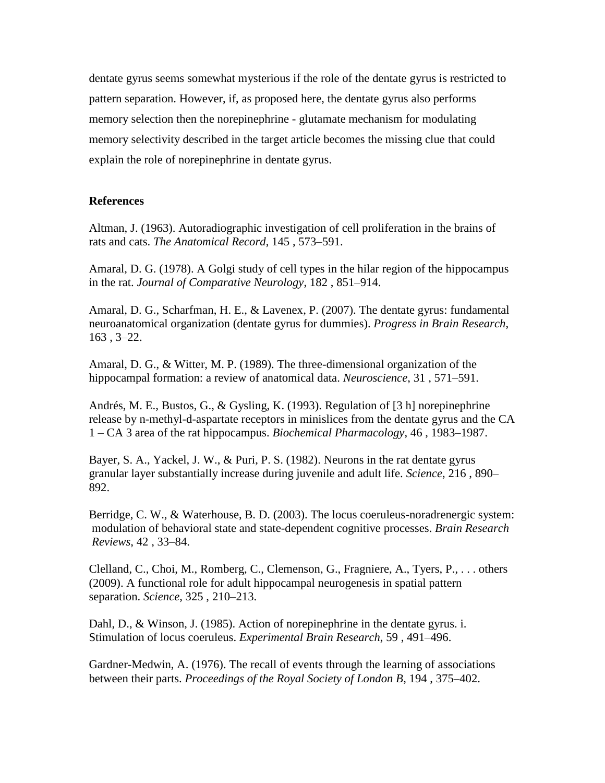dentate gyrus seems somewhat mysterious if the role of the dentate gyrus is restricted to pattern separation. However, if, as proposed here, the dentate gyrus also performs memory selection then the norepinephrine - glutamate mechanism for modulating memory selectivity described in the target article becomes the missing clue that could explain the role of norepinephrine in dentate gyrus.

## **References**

Altman, J. (1963). Autoradiographic investigation of cell proliferation in the brains of rats and cats. *The Anatomical Record*, 145 , 573–591.

Amaral, D. G. (1978). A Golgi study of cell types in the hilar region of the hippocampus in the rat. *Journal of Comparative Neurology*, 182 , 851–914.

Amaral, D. G., Scharfman, H. E., & Lavenex, P. (2007). The dentate gyrus: fundamental neuroanatomical organization (dentate gyrus for dummies). *Progress in Brain Research*, 163 , 3–22.

Amaral, D. G., & Witter, M. P. (1989). The three-dimensional organization of the hippocampal formation: a review of anatomical data. *Neuroscience*, 31 , 571–591.

Andrés, M. E., Bustos, G., & Gysling, K. (1993). Regulation of [3 h] norepinephrine release by n-methyl-d-aspartate receptors in minislices from the dentate gyrus and the CA 1 – CA 3 area of the rat hippocampus. *Biochemical Pharmacology*, 46 , 1983–1987.

Bayer, S. A., Yackel, J. W., & Puri, P. S. (1982). Neurons in the rat dentate gyrus granular layer substantially increase during juvenile and adult life. *Science*, 216 , 890– 892.

Berridge, C. W., & Waterhouse, B. D. (2003). The locus coeruleus-noradrenergic system: modulation of behavioral state and state-dependent cognitive processes. *Brain Research Reviews*, 42 , 33–84.

Clelland, C., Choi, M., Romberg, C., Clemenson, G., Fragniere, A., Tyers, P., . . . others (2009). A functional role for adult hippocampal neurogenesis in spatial pattern separation. *Science*, 325 , 210–213.

Dahl, D., & Winson, J. (1985). Action of norepinephrine in the dentate gyrus. i. Stimulation of locus coeruleus. *Experimental Brain Research*, 59 , 491–496.

Gardner-Medwin, A. (1976). The recall of events through the learning of associations between their parts. *Proceedings of the Royal Society of London B*, 194 , 375–402.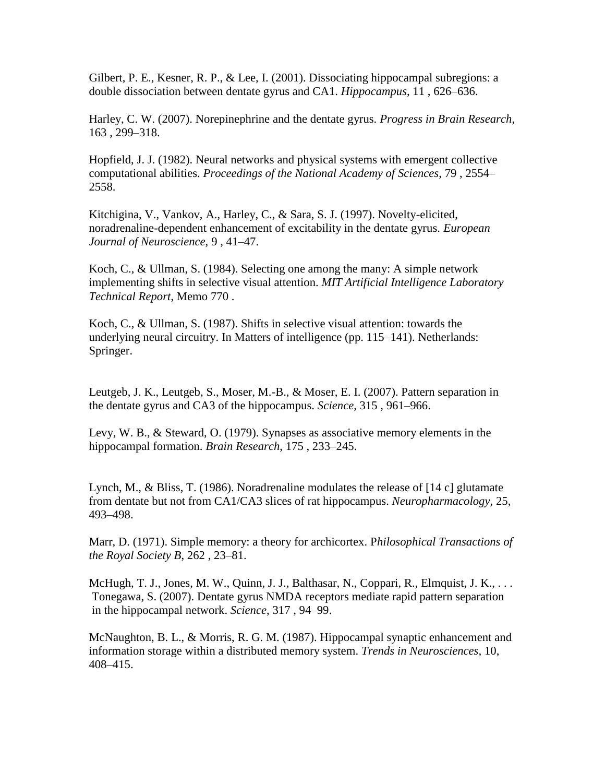Gilbert, P. E., Kesner, R. P., & Lee, I. (2001). Dissociating hippocampal subregions: a double dissociation between dentate gyrus and CA1. *Hippocampus*, 11 , 626–636.

Harley, C. W. (2007). Norepinephrine and the dentate gyrus. *Progress in Brain Research*, 163 , 299–318.

Hopfield, J. J. (1982). Neural networks and physical systems with emergent collective computational abilities. *Proceedings of the National Academy of Sciences*, 79 , 2554– 2558.

Kitchigina, V., Vankov, A., Harley, C., & Sara, S. J. (1997). Novelty-elicited, noradrenaline-dependent enhancement of excitability in the dentate gyrus. *European Journal of Neuroscience*, 9 , 41–47.

Koch, C., & Ullman, S. (1984). Selecting one among the many: A simple network implementing shifts in selective visual attention. *MIT Artificial Intelligence Laboratory Technical Report*, Memo 770 .

Koch, C., & Ullman, S. (1987). Shifts in selective visual attention: towards the underlying neural circuitry. In Matters of intelligence (pp. 115–141). Netherlands: Springer.

Leutgeb, J. K., Leutgeb, S., Moser, M.-B., & Moser, E. I. (2007). Pattern separation in the dentate gyrus and CA3 of the hippocampus. *Science*, 315 , 961–966.

Levy, W. B., & Steward, O. (1979). Synapses as associative memory elements in the hippocampal formation. *Brain Research*, 175 , 233–245.

Lynch, M., & Bliss, T. (1986). Noradrenaline modulates the release of [14 c] glutamate from dentate but not from CA1/CA3 slices of rat hippocampus. *Neuropharmacology*, 25, 493–498.

Marr, D. (1971). Simple memory: a theory for archicortex. P*hilosophical Transactions of the Royal Society B*, 262 , 23–81.

McHugh, T. J., Jones, M. W., Quinn, J. J., Balthasar, N., Coppari, R., Elmquist, J. K., . . . Tonegawa, S. (2007). Dentate gyrus NMDA receptors mediate rapid pattern separation in the hippocampal network. *Science*, 317 , 94–99.

McNaughton, B. L., & Morris, R. G. M. (1987). Hippocampal synaptic enhancement and information storage within a distributed memory system. *Trends in Neurosciences*, 10, 408–415.